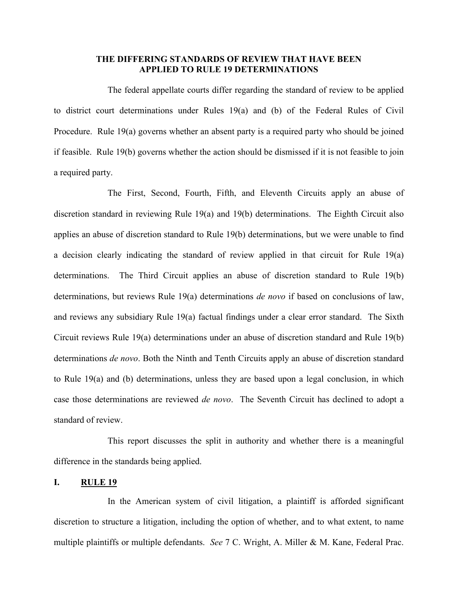## **THE DIFFERING STANDARDS OF REVIEW THAT HAVE BEEN APPLIED TO RULE 19 DETERMINATIONS**

The federal appellate courts differ regarding the standard of review to be applied to district court determinations under Rules 19(a) and (b) of the Federal Rules of Civil Procedure. Rule 19(a) governs whether an absent party is a required party who should be joined if feasible. Rule 19(b) governs whether the action should be dismissed if it is not feasible to join a required party.

The First, Second, Fourth, Fifth, and Eleventh Circuits apply an abuse of discretion standard in reviewing Rule 19(a) and 19(b) determinations. The Eighth Circuit also applies an abuse of discretion standard to Rule 19(b) determinations, but we were unable to find a decision clearly indicating the standard of review applied in that circuit for Rule 19(a) determinations. The Third Circuit applies an abuse of discretion standard to Rule 19(b) determinations, but reviews Rule 19(a) determinations *de novo* if based on conclusions of law, and reviews any subsidiary Rule 19(a) factual findings under a clear error standard. The Sixth Circuit reviews Rule 19(a) determinations under an abuse of discretion standard and Rule 19(b) determinations *de novo*. Both the Ninth and Tenth Circuits apply an abuse of discretion standard to Rule 19(a) and (b) determinations, unless they are based upon a legal conclusion, in which case those determinations are reviewed *de novo*. The Seventh Circuit has declined to adopt a standard of review.

This report discusses the split in authority and whether there is a meaningful difference in the standards being applied.

### **I. RULE 19**

In the American system of civil litigation, a plaintiff is afforded significant discretion to structure a litigation, including the option of whether, and to what extent, to name multiple plaintiffs or multiple defendants. *See* 7 C. Wright, A. Miller & M. Kane, Federal Prac.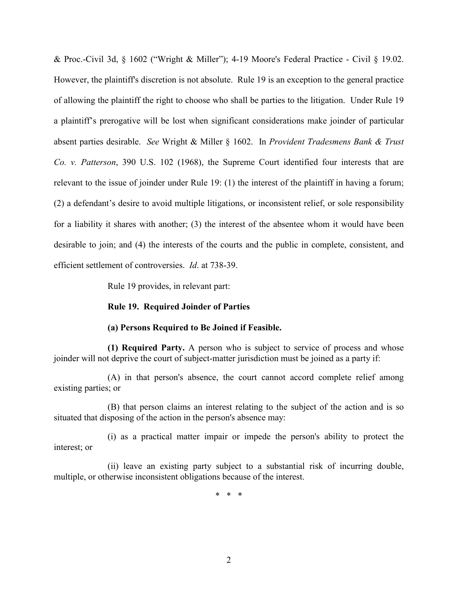& Proc.-Civil 3d, § 1602 ("Wright & Miller"); 4-19 Moore's Federal Practice - Civil § 19.02. However, the plaintiff's discretion is not absolute. Rule 19 is an exception to the general practice of allowing the plaintiff the right to choose who shall be parties to the litigation. Under Rule 19 a plaintiff's prerogative will be lost when significant considerations make joinder of particular absent parties desirable. *See* Wright & Miller § 1602. In *Provident Tradesmens Bank & Trust Co. v. Patterson*, 390 U.S. 102 (1968), the Supreme Court identified four interests that are relevant to the issue of joinder under Rule 19: (1) the interest of the plaintiff in having a forum; (2) a defendant's desire to avoid multiple litigations, or inconsistent relief, or sole responsibility for a liability it shares with another; (3) the interest of the absentee whom it would have been desirable to join; and (4) the interests of the courts and the public in complete, consistent, and efficient settlement of controversies. *Id*. at 738-39.

Rule 19 provides, in relevant part:

#### **Rule 19. Required Joinder of Parties**

#### **(a) Persons Required to Be Joined if Feasible.**

**(1) Required Party.** A person who is subject to service of process and whose joinder will not deprive the court of subject-matter jurisdiction must be joined as a party if:

(A) in that person's absence, the court cannot accord complete relief among existing parties; or

(B) that person claims an interest relating to the subject of the action and is so situated that disposing of the action in the person's absence may:

(i) as a practical matter impair or impede the person's ability to protect the interest; or

(ii) leave an existing party subject to a substantial risk of incurring double, multiple, or otherwise inconsistent obligations because of the interest.

\* \* \*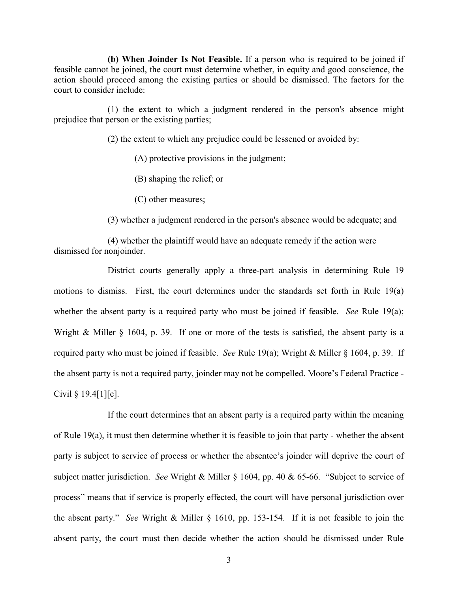**(b) When Joinder Is Not Feasible.** If a person who is required to be joined if feasible cannot be joined, the court must determine whether, in equity and good conscience, the action should proceed among the existing parties or should be dismissed. The factors for the court to consider include:

(1) the extent to which a judgment rendered in the person's absence might prejudice that person or the existing parties;

(2) the extent to which any prejudice could be lessened or avoided by:

(A) protective provisions in the judgment;

(B) shaping the relief; or

(C) other measures;

(3) whether a judgment rendered in the person's absence would be adequate; and

(4) whether the plaintiff would have an adequate remedy if the action were dismissed for nonjoinder.

District courts generally apply a three-part analysis in determining Rule 19 motions to dismiss. First, the court determines under the standards set forth in Rule 19(a) whether the absent party is a required party who must be joined if feasible. *See* Rule 19(a); Wright & Miller § 1604, p. 39. If one or more of the tests is satisfied, the absent party is a required party who must be joined if feasible. *See* Rule 19(a); Wright & Miller § 1604, p. 39. If the absent party is not a required party, joinder may not be compelled. Moore's Federal Practice - Civil § 19.4[1][c].

If the court determines that an absent party is a required party within the meaning of Rule 19(a), it must then determine whether it is feasible to join that party - whether the absent party is subject to service of process or whether the absentee's joinder will deprive the court of subject matter jurisdiction. *See* Wright & Miller § 1604, pp. 40 & 65-66. "Subject to service of process" means that if service is properly effected, the court will have personal jurisdiction over the absent party." *See* Wright & Miller § 1610, pp. 153-154. If it is not feasible to join the absent party, the court must then decide whether the action should be dismissed under Rule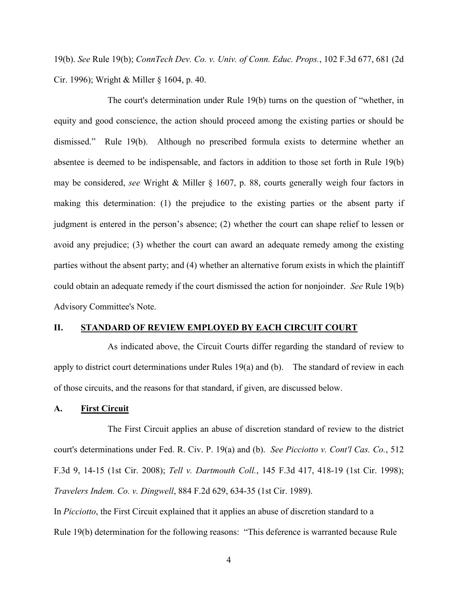19(b). *See* Rule 19(b); *ConnTech Dev. Co. v. Univ. of Conn. Educ. Props.*, 102 F.3d 677, 681 (2d Cir. 1996); Wright & Miller § 1604, p. 40.

The court's determination under Rule 19(b) turns on the question of "whether, in equity and good conscience, the action should proceed among the existing parties or should be dismissed." Rule 19(b). Although no prescribed formula exists to determine whether an absentee is deemed to be indispensable, and factors in addition to those set forth in Rule 19(b) may be considered, *see* Wright & Miller § 1607, p. 88, courts generally weigh four factors in making this determination: (1) the prejudice to the existing parties or the absent party if judgment is entered in the person's absence; (2) whether the court can shape relief to lessen or avoid any prejudice; (3) whether the court can award an adequate remedy among the existing parties without the absent party; and (4) whether an alternative forum exists in which the plaintiff could obtain an adequate remedy if the court dismissed the action for nonjoinder. *See* Rule 19(b) Advisory Committee's Note.

#### **II. STANDARD OF REVIEW EMPLOYED BY EACH CIRCUIT COURT**

As indicated above, the Circuit Courts differ regarding the standard of review to apply to district court determinations under Rules 19(a) and (b). The standard of review in each of those circuits, and the reasons for that standard, if given, are discussed below.

## **A. First Circuit**

The First Circuit applies an abuse of discretion standard of review to the district court's determinations under Fed. R. Civ. P. 19(a) and (b). *See Picciotto v. Cont'l Cas. Co.*, 512 F.3d 9, 14-15 (1st Cir. 2008); *Tell v. Dartmouth Coll.*, 145 F.3d 417, 418-19 (1st Cir. 1998); *Travelers Indem. Co. v. Dingwell*, 884 F.2d 629, 634-35 (1st Cir. 1989).

In *Picciotto*, the First Circuit explained that it applies an abuse of discretion standard to a Rule 19(b) determination for the following reasons: "This deference is warranted because Rule

4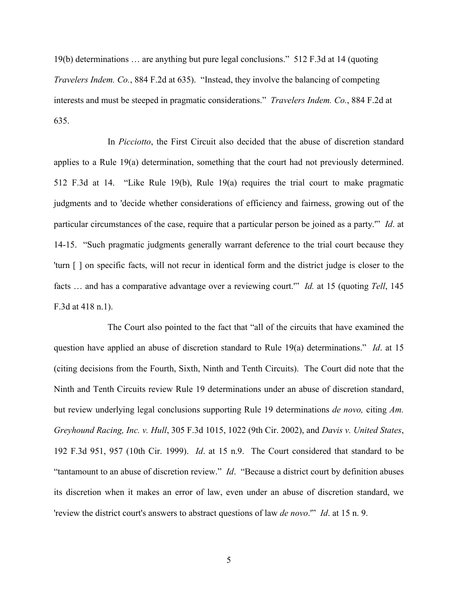19(b) determinations … are anything but pure legal conclusions." 512 F.3d at 14 (quoting *Travelers Indem. Co.*, 884 F.2d at 635). "Instead, they involve the balancing of competing interests and must be steeped in pragmatic considerations." *Travelers Indem. Co.*, 884 F.2d at 635.

In *Picciotto*, the First Circuit also decided that the abuse of discretion standard applies to a Rule 19(a) determination, something that the court had not previously determined. 512 F.3d at 14. "Like Rule 19(b), Rule 19(a) requires the trial court to make pragmatic judgments and to 'decide whether considerations of efficiency and fairness, growing out of the particular circumstances of the case, require that a particular person be joined as a party.'" *Id*. at 14-15. "Such pragmatic judgments generally warrant deference to the trial court because they 'turn [ ] on specific facts, will not recur in identical form and the district judge is closer to the facts … and has a comparative advantage over a reviewing court.'" *Id.* at 15 (quoting *Tell*, 145 F.3d at 418 n.1).

The Court also pointed to the fact that "all of the circuits that have examined the question have applied an abuse of discretion standard to Rule 19(a) determinations." *Id*. at 15 (citing decisions from the Fourth, Sixth, Ninth and Tenth Circuits). The Court did note that the Ninth and Tenth Circuits review Rule 19 determinations under an abuse of discretion standard, but review underlying legal conclusions supporting Rule 19 determinations *de novo,* citing *Am. Greyhound Racing, Inc. v. Hull*, 305 F.3d 1015, 1022 (9th Cir. 2002), and *Davis v. United States*, 192 F.3d 951, 957 (10th Cir. 1999). *Id*. at 15 n.9. The Court considered that standard to be "tantamount to an abuse of discretion review." *Id*. "Because a district court by definition abuses its discretion when it makes an error of law, even under an abuse of discretion standard, we 'review the district court's answers to abstract questions of law *de novo*.'" *Id*. at 15 n. 9.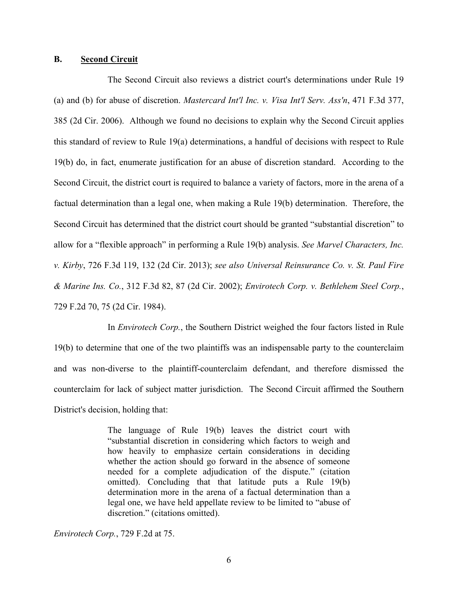### **B. Second Circuit**

The Second Circuit also reviews a district court's determinations under Rule 19 (a) and (b) for abuse of discretion. *Mastercard Int'l Inc. v. Visa Int'l Serv. Ass'n*, 471 F.3d 377, 385 (2d Cir. 2006). Although we found no decisions to explain why the Second Circuit applies this standard of review to Rule 19(a) determinations, a handful of decisions with respect to Rule 19(b) do, in fact, enumerate justification for an abuse of discretion standard. According to the Second Circuit, the district court is required to balance a variety of factors, more in the arena of a factual determination than a legal one, when making a Rule 19(b) determination. Therefore, the Second Circuit has determined that the district court should be granted "substantial discretion" to allow for a "flexible approach" in performing a Rule 19(b) analysis. *See Marvel Characters, Inc. v. Kirby*, 726 F.3d 119, 132 (2d Cir. 2013); *see also Universal Reinsurance Co. v. St. Paul Fire & Marine Ins. Co.*, 312 F.3d 82, 87 (2d Cir. 2002); *Envirotech Corp. v. Bethlehem Steel Corp.*, 729 F.2d 70, 75 (2d Cir. 1984).

In *Envirotech Corp.*, the Southern District weighed the four factors listed in Rule 19(b) to determine that one of the two plaintiffs was an indispensable party to the counterclaim and was non-diverse to the plaintiff-counterclaim defendant, and therefore dismissed the counterclaim for lack of subject matter jurisdiction. The Second Circuit affirmed the Southern District's decision, holding that:

> The language of Rule 19(b) leaves the district court with "substantial discretion in considering which factors to weigh and how heavily to emphasize certain considerations in deciding whether the action should go forward in the absence of someone needed for a complete adjudication of the dispute." (citation omitted). Concluding that that latitude puts a Rule 19(b) determination more in the arena of a factual determination than a legal one, we have held appellate review to be limited to "abuse of discretion." (citations omitted).

*Envirotech Corp.*, 729 F.2d at 75.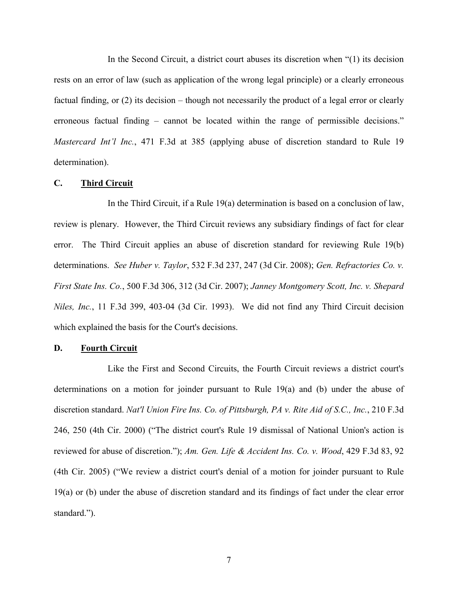In the Second Circuit, a district court abuses its discretion when "(1) its decision rests on an error of law (such as application of the wrong legal principle) or a clearly erroneous factual finding, or (2) its decision – though not necessarily the product of a legal error or clearly erroneous factual finding – cannot be located within the range of permissible decisions." *Mastercard Int'l Inc.*, 471 F.3d at 385 (applying abuse of discretion standard to Rule 19 determination).

#### **C. Third Circuit**

In the Third Circuit, if a Rule 19(a) determination is based on a conclusion of law, review is plenary. However, the Third Circuit reviews any subsidiary findings of fact for clear error. The Third Circuit applies an abuse of discretion standard for reviewing Rule 19(b) determinations. *See Huber v. Taylor*, 532 F.3d 237, 247 (3d Cir. 2008); *Gen. Refractories Co. v. First State Ins. Co.*, 500 F.3d 306, 312 (3d Cir. 2007); *Janney Montgomery Scott, Inc. v. Shepard Niles, Inc.*, 11 F.3d 399, 403-04 (3d Cir. 1993). We did not find any Third Circuit decision which explained the basis for the Court's decisions.

## **D. Fourth Circuit**

Like the First and Second Circuits, the Fourth Circuit reviews a district court's determinations on a motion for joinder pursuant to Rule 19(a) and (b) under the abuse of discretion standard. *Nat'l Union Fire Ins. Co. of Pittsburgh, PA v. Rite Aid of S.C., Inc.*, 210 F.3d 246, 250 (4th Cir. 2000) ("The district court's Rule 19 dismissal of National Union's action is reviewed for abuse of discretion."); *Am. Gen. Life & Accident Ins. Co. v. Wood*, 429 F.3d 83, 92 (4th Cir. 2005) ("We review a district court's denial of a motion for joinder pursuant to Rule 19(a) or (b) under the abuse of discretion standard and its findings of fact under the clear error standard.").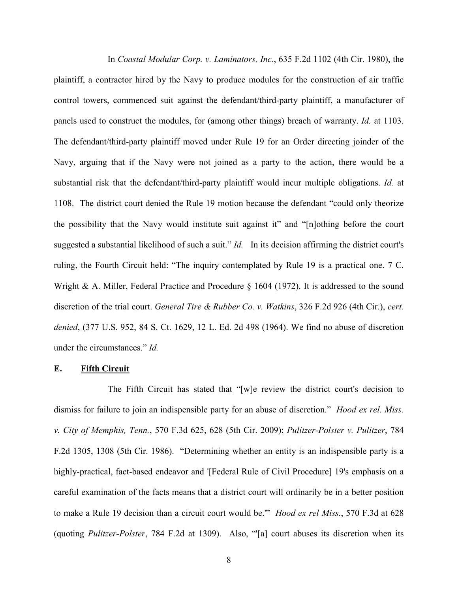In *Coastal Modular Corp. v. Laminators, Inc.*, 635 F.2d 1102 (4th Cir. 1980), the plaintiff, a contractor hired by the Navy to produce modules for the construction of air traffic control towers, commenced suit against the defendant/third-party plaintiff, a manufacturer of panels used to construct the modules, for (among other things) breach of warranty. *Id.* at 1103. The defendant/third-party plaintiff moved under Rule 19 for an Order directing joinder of the Navy, arguing that if the Navy were not joined as a party to the action, there would be a substantial risk that the defendant/third-party plaintiff would incur multiple obligations. *Id.* at 1108. The district court denied the Rule 19 motion because the defendant "could only theorize the possibility that the Navy would institute suit against it" and "[n]othing before the court suggested a substantial likelihood of such a suit." *Id.* In its decision affirming the district court's ruling, the Fourth Circuit held: "The inquiry contemplated by Rule 19 is a practical one. 7 C. Wright & A. Miller, Federal Practice and Procedure § 1604 (1972). It is addressed to the sound discretion of the trial court. *General Tire & Rubber Co. v. Watkins*, 326 F.2d 926 (4th Cir.), *cert. denied*, (377 U.S. 952, 84 S. Ct. 1629, 12 L. Ed. 2d 498 (1964). We find no abuse of discretion under the circumstances." *Id.*

#### **E. Fifth Circuit**

The Fifth Circuit has stated that "[w]e review the district court's decision to dismiss for failure to join an indispensible party for an abuse of discretion." *Hood ex rel. Miss. v. City of Memphis, Tenn.*, 570 F.3d 625, 628 (5th Cir. 2009); *Pulitzer-Polster v. Pulitzer*, 784 F.2d 1305, 1308 (5th Cir. 1986). "Determining whether an entity is an indispensible party is a highly-practical, fact-based endeavor and '[Federal Rule of Civil Procedure] 19's emphasis on a careful examination of the facts means that a district court will ordinarily be in a better position to make a Rule 19 decision than a circuit court would be.'" *Hood ex rel Miss.*, 570 F.3d at 628 (quoting *Pulitzer-Polster*, 784 F.2d at 1309). Also, "'[a] court abuses its discretion when its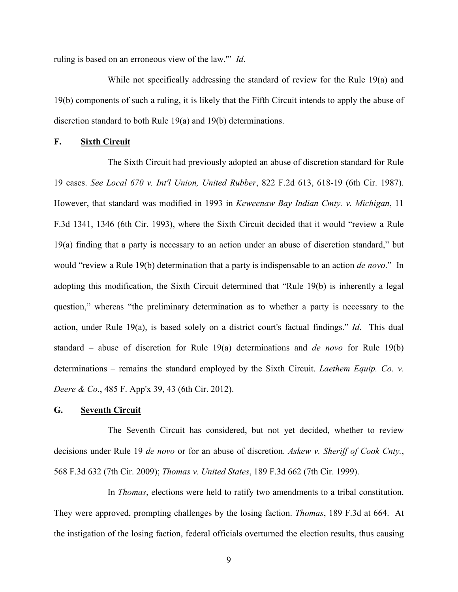ruling is based on an erroneous view of the law.'" *Id*.

While not specifically addressing the standard of review for the Rule 19(a) and 19(b) components of such a ruling, it is likely that the Fifth Circuit intends to apply the abuse of discretion standard to both Rule 19(a) and 19(b) determinations.

# **F. Sixth Circuit**

The Sixth Circuit had previously adopted an abuse of discretion standard for Rule 19 cases. *See Local 670 v. Int'l Union, United Rubber*, 822 F.2d 613, 618-19 (6th Cir. 1987). However, that standard was modified in 1993 in *Keweenaw Bay Indian Cmty. v. Michigan*, 11 F.3d 1341, 1346 (6th Cir. 1993), where the Sixth Circuit decided that it would "review a Rule 19(a) finding that a party is necessary to an action under an abuse of discretion standard," but would "review a Rule 19(b) determination that a party is indispensable to an action *de novo*." In adopting this modification, the Sixth Circuit determined that "Rule 19(b) is inherently a legal question," whereas "the preliminary determination as to whether a party is necessary to the action, under Rule 19(a), is based solely on a district court's factual findings." *Id*. This dual standard – abuse of discretion for Rule 19(a) determinations and *de novo* for Rule 19(b) determinations – remains the standard employed by the Sixth Circuit. *Laethem Equip. Co. v. Deere & Co.*, 485 F. App'x 39, 43 (6th Cir. 2012).

## **G. Seventh Circuit**

The Seventh Circuit has considered, but not yet decided, whether to review decisions under Rule 19 *de novo* or for an abuse of discretion. *Askew v. Sheriff of Cook Cnty.*, 568 F.3d 632 (7th Cir. 2009); *Thomas v. United States*, 189 F.3d 662 (7th Cir. 1999).

In *Thomas*, elections were held to ratify two amendments to a tribal constitution. They were approved, prompting challenges by the losing faction. *Thomas*, 189 F.3d at 664. At the instigation of the losing faction, federal officials overturned the election results, thus causing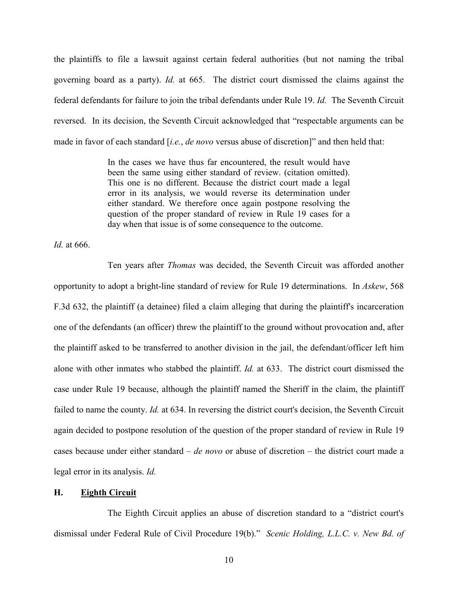the plaintiffs to file a lawsuit against certain federal authorities (but not naming the tribal governing board as a party). *Id.* at 665. The district court dismissed the claims against the federal defendants for failure to join the tribal defendants under Rule 19. *Id.* The Seventh Circuit reversed. In its decision, the Seventh Circuit acknowledged that "respectable arguments can be made in favor of each standard [*i.e.*, *de novo* versus abuse of discretion]" and then held that:

> In the cases we have thus far encountered, the result would have been the same using either standard of review. (citation omitted). This one is no different. Because the district court made a legal error in its analysis, we would reverse its determination under either standard. We therefore once again postpone resolving the question of the proper standard of review in Rule 19 cases for a day when that issue is of some consequence to the outcome.

*Id.* at 666.

Ten years after *Thomas* was decided, the Seventh Circuit was afforded another opportunity to adopt a bright-line standard of review for Rule 19 determinations. In *Askew*, 568 F.3d 632, the plaintiff (a detainee) filed a claim alleging that during the plaintiff's incarceration one of the defendants (an officer) threw the plaintiff to the ground without provocation and, after the plaintiff asked to be transferred to another division in the jail, the defendant/officer left him alone with other inmates who stabbed the plaintiff. *Id.* at 633. The district court dismissed the case under Rule 19 because, although the plaintiff named the Sheriff in the claim, the plaintiff failed to name the county. *Id.* at 634. In reversing the district court's decision, the Seventh Circuit again decided to postpone resolution of the question of the proper standard of review in Rule 19 cases because under either standard – *de novo* or abuse of discretion – the district court made a legal error in its analysis. *Id.*

## **H. Eighth Circuit**

The Eighth Circuit applies an abuse of discretion standard to a "district court's dismissal under Federal Rule of Civil Procedure 19(b)." *Scenic Holding, L.L.C. v. New Bd. of*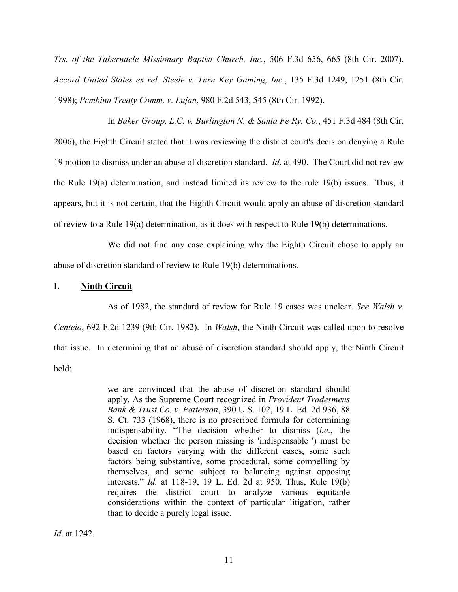*Trs. of the Tabernacle Missionary Baptist Church, Inc.*, 506 F.3d 656, 665 (8th Cir. 2007). *Accord United States ex rel. Steele v. Turn Key Gaming, Inc.*, 135 F.3d 1249, 1251 (8th Cir. 1998); *Pembina Treaty Comm. v. Lujan*, 980 F.2d 543, 545 (8th Cir. 1992).

In *Baker Group, L.C. v. Burlington N. & Santa Fe Ry. Co.*, 451 F.3d 484 (8th Cir. 2006), the Eighth Circuit stated that it was reviewing the district court's decision denying a Rule 19 motion to dismiss under an abuse of discretion standard. *Id*. at 490. The Court did not review the Rule 19(a) determination, and instead limited its review to the rule 19(b) issues. Thus, it appears, but it is not certain, that the Eighth Circuit would apply an abuse of discretion standard of review to a Rule 19(a) determination, as it does with respect to Rule 19(b) determinations.

We did not find any case explaining why the Eighth Circuit chose to apply an abuse of discretion standard of review to Rule 19(b) determinations.

## **I. Ninth Circuit**

As of 1982, the standard of review for Rule 19 cases was unclear. *See Walsh v. Centeio*, 692 F.2d 1239 (9th Cir. 1982). In *Walsh*, the Ninth Circuit was called upon to resolve that issue. In determining that an abuse of discretion standard should apply, the Ninth Circuit held:

> we are convinced that the abuse of discretion standard should apply. As the Supreme Court recognized in *Provident Tradesmens Bank & Trust Co. v. Patterson*, 390 U.S. 102, 19 L. Ed. 2d 936, 88 S. Ct. 733 (1968), there is no prescribed formula for determining indispensability. "The decision whether to dismiss (*i.e*., the decision whether the person missing is 'indispensable ') must be based on factors varying with the different cases, some such factors being substantive, some procedural, some compelling by themselves, and some subject to balancing against opposing interests." *Id.* at 118-19, 19 L. Ed. 2d at 950. Thus, Rule 19(b) requires the district court to analyze various equitable considerations within the context of particular litigation, rather than to decide a purely legal issue.

*Id*. at 1242.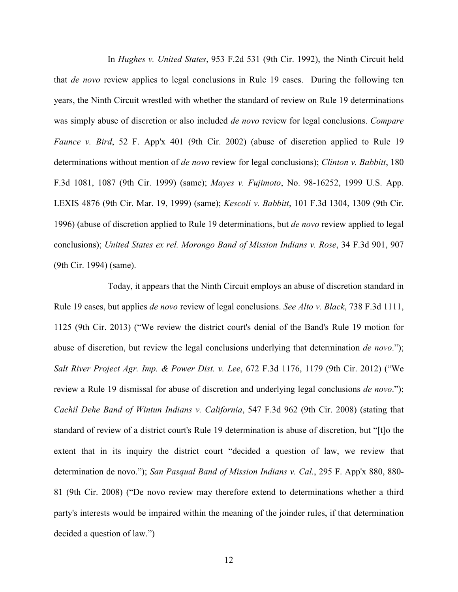In *Hughes v. United States*, 953 F.2d 531 (9th Cir. 1992), the Ninth Circuit held that *de novo* review applies to legal conclusions in Rule 19 cases. During the following ten years, the Ninth Circuit wrestled with whether the standard of review on Rule 19 determinations was simply abuse of discretion or also included *de novo* review for legal conclusions. *Compare Faunce v. Bird*, 52 F. App'x 401 (9th Cir. 2002) (abuse of discretion applied to Rule 19 determinations without mention of *de novo* review for legal conclusions); *Clinton v. Babbitt*, 180 F.3d 1081, 1087 (9th Cir. 1999) (same); *Mayes v. Fujimoto*, No. 98-16252, 1999 U.S. App. LEXIS 4876 (9th Cir. Mar. 19, 1999) (same); *Kescoli v. Babbitt*, 101 F.3d 1304, 1309 (9th Cir. 1996) (abuse of discretion applied to Rule 19 determinations, but *de novo* review applied to legal conclusions); *United States ex rel. Morongo Band of Mission Indians v. Rose*, 34 F.3d 901, 907 (9th Cir. 1994) (same).

Today, it appears that the Ninth Circuit employs an abuse of discretion standard in Rule 19 cases, but applies *de novo* review of legal conclusions. *See Alto v. Black*, 738 F.3d 1111, 1125 (9th Cir. 2013) ("We review the district court's denial of the Band's Rule 19 motion for abuse of discretion, but review the legal conclusions underlying that determination *de novo*."); *Salt River Project Agr. Imp. & Power Dist. v. Lee*, 672 F.3d 1176, 1179 (9th Cir. 2012) ("We review a Rule 19 dismissal for abuse of discretion and underlying legal conclusions *de novo*."); *Cachil Dehe Band of Wintun Indians v. California*, 547 F.3d 962 (9th Cir. 2008) (stating that standard of review of a district court's Rule 19 determination is abuse of discretion, but "[t]o the extent that in its inquiry the district court "decided a question of law, we review that determination de novo."); *San Pasqual Band of Mission Indians v. Cal.*, 295 F. App'x 880, 880- 81 (9th Cir. 2008) ("De novo review may therefore extend to determinations whether a third party's interests would be impaired within the meaning of the joinder rules, if that determination decided a question of law.")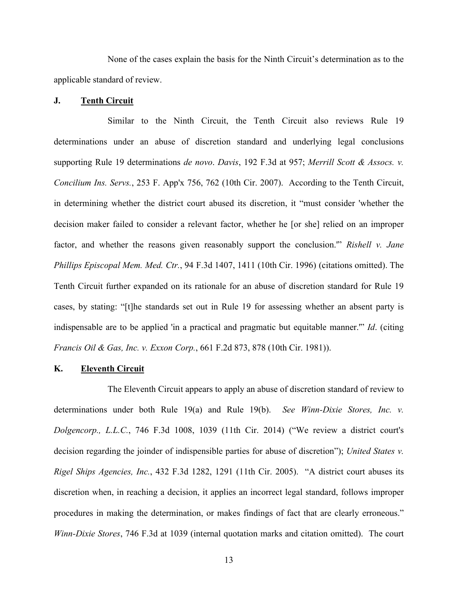None of the cases explain the basis for the Ninth Circuit's determination as to the applicable standard of review.

## **J. Tenth Circuit**

Similar to the Ninth Circuit, the Tenth Circuit also reviews Rule 19 determinations under an abuse of discretion standard and underlying legal conclusions supporting Rule 19 determinations *de novo*. *Davis*, 192 F.3d at 957; *Merrill Scott & Assocs. v. Concilium Ins. Servs.*, 253 F. App'x 756, 762 (10th Cir. 2007). According to the Tenth Circuit, in determining whether the district court abused its discretion, it "must consider 'whether the decision maker failed to consider a relevant factor, whether he [or she] relied on an improper factor, and whether the reasons given reasonably support the conclusion.'" *Rishell v. Jane Phillips Episcopal Mem. Med. Ctr.*, 94 F.3d 1407, 1411 (10th Cir. 1996) (citations omitted). The Tenth Circuit further expanded on its rationale for an abuse of discretion standard for Rule 19 cases, by stating: "[t]he standards set out in Rule 19 for assessing whether an absent party is indispensable are to be applied 'in a practical and pragmatic but equitable manner.'" *Id*. (citing *Francis Oil & Gas, Inc. v. Exxon Corp.*, 661 F.2d 873, 878 (10th Cir. 1981)).

## **K. Eleventh Circuit**

The Eleventh Circuit appears to apply an abuse of discretion standard of review to determinations under both Rule 19(a) and Rule 19(b). *See Winn-Dixie Stores, Inc. v. Dolgencorp., L.L.C.*, 746 F.3d 1008, 1039 (11th Cir. 2014) ("We review a district court's decision regarding the joinder of indispensible parties for abuse of discretion"); *United States v. Rigel Ships Agencies, Inc.*, 432 F.3d 1282, 1291 (11th Cir. 2005). "A district court abuses its discretion when, in reaching a decision, it applies an incorrect legal standard, follows improper procedures in making the determination, or makes findings of fact that are clearly erroneous." *Winn-Dixie Stores*, 746 F.3d at 1039 (internal quotation marks and citation omitted). The court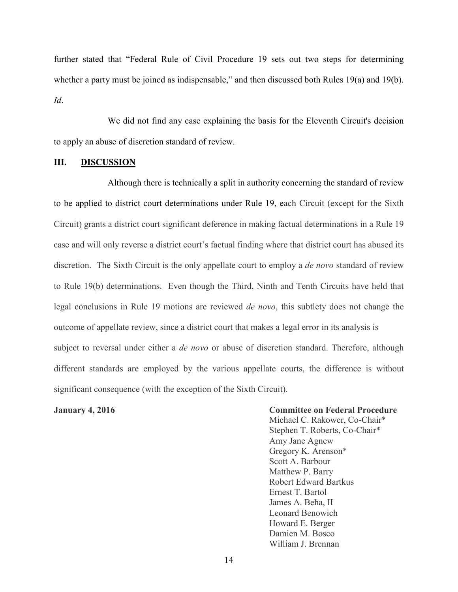further stated that "Federal Rule of Civil Procedure 19 sets out two steps for determining whether a party must be joined as indispensable," and then discussed both Rules 19(a) and 19(b). *Id*.

We did not find any case explaining the basis for the Eleventh Circuit's decision to apply an abuse of discretion standard of review.

## **III. DISCUSSION**

Although there is technically a split in authority concerning the standard of review to be applied to district court determinations under Rule 19, each Circuit (except for the Sixth Circuit) grants a district court significant deference in making factual determinations in a Rule 19 case and will only reverse a district court's factual finding where that district court has abused its discretion. The Sixth Circuit is the only appellate court to employ a *de novo* standard of review to Rule 19(b) determinations. Even though the Third, Ninth and Tenth Circuits have held that legal conclusions in Rule 19 motions are reviewed *de novo*, this subtlety does not change the outcome of appellate review, since a district court that makes a legal error in its analysis is subject to reversal under either a *de novo* or abuse of discretion standard. Therefore, although different standards are employed by the various appellate courts, the difference is without significant consequence (with the exception of the Sixth Circuit).

**January 4, 2016 Committee on Federal Procedure**

Michael C. Rakower, Co-Chair\* Stephen T. Roberts, Co-Chair\* Amy Jane Agnew Gregory K. Arenson\* Scott A. Barbour Matthew P. Barry Robert Edward Bartkus Ernest T. Bartol James A. Beha, II Leonard Benowich Howard E. Berger Damien M. Bosco William J. Brennan

14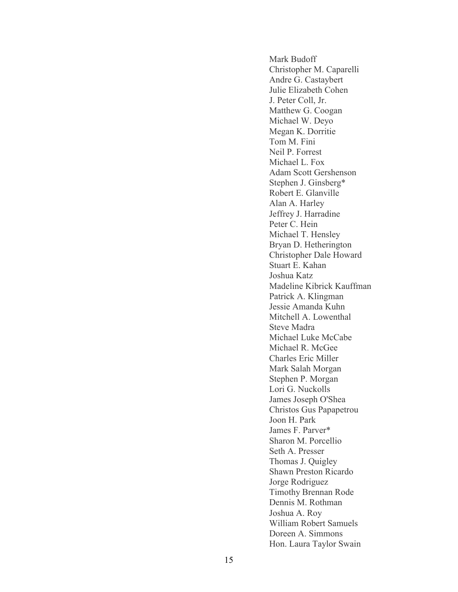Mark Budoff Christopher M. Caparelli Andre G. Castaybert Julie Elizabeth Cohen J. Peter Coll, Jr. Matthew G. Coogan Michael W. Deyo Megan K. Dorritie Tom M. Fini Neil P. Forrest Michael L. Fox Adam Scott Gershenson Stephen J. Ginsberg\* Robert E. Glanville Alan A. Harley Jeffrey J. Harradine Peter C. Hein Michael T. Hensley Bryan D. Hetherington Christopher Dale Howard Stuart E. Kahan Joshua Katz Madeline Kibrick Kauffman Patrick A. Klingman Jessie Amanda Kuhn Mitchell A. Lowenthal Steve Madra Michael Luke McCabe Michael R. McGee Charles Eric Miller Mark Salah Morgan Stephen P. Morgan Lori G. Nuckolls James Joseph O'Shea Christos Gus Papapetrou Joon H. Park James F. Parver\* Sharon M. Porcellio Seth A. Presser Thomas J. Quigley Shawn Preston Ricardo Jorge Rodriguez Timothy Brennan Rode Dennis M. Rothman Joshua A. Roy William Robert Samuels Doreen A. Simmons Hon. Laura Taylor Swain